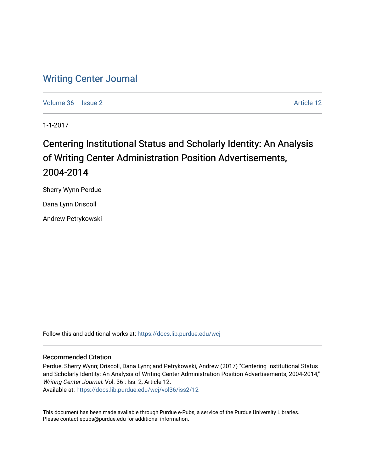## [Writing Center Journal](https://docs.lib.purdue.edu/wcj)

[Volume 36](https://docs.lib.purdue.edu/wcj/vol36) | [Issue 2](https://docs.lib.purdue.edu/wcj/vol36/iss2) Article 12

1-1-2017

# Centering Institutional Status and Scholarly Identity: An Analysis of Writing Center Administration Position Advertisements, 2004-2014

Sherry Wynn Perdue

Dana Lynn Driscoll

Andrew Petrykowski

Follow this and additional works at: [https://docs.lib.purdue.edu/wcj](https://docs.lib.purdue.edu/wcj?utm_source=docs.lib.purdue.edu%2Fwcj%2Fvol36%2Fiss2%2F12&utm_medium=PDF&utm_campaign=PDFCoverPages) 

#### Recommended Citation

Perdue, Sherry Wynn; Driscoll, Dana Lynn; and Petrykowski, Andrew (2017) "Centering Institutional Status and Scholarly Identity: An Analysis of Writing Center Administration Position Advertisements, 2004-2014," Writing Center Journal: Vol. 36 : Iss. 2, Article 12. Available at: [https://docs.lib.purdue.edu/wcj/vol36/iss2/12](https://docs.lib.purdue.edu/wcj/vol36/iss2/12?utm_source=docs.lib.purdue.edu%2Fwcj%2Fvol36%2Fiss2%2F12&utm_medium=PDF&utm_campaign=PDFCoverPages)

This document has been made available through Purdue e-Pubs, a service of the Purdue University Libraries. Please contact epubs@purdue.edu for additional information.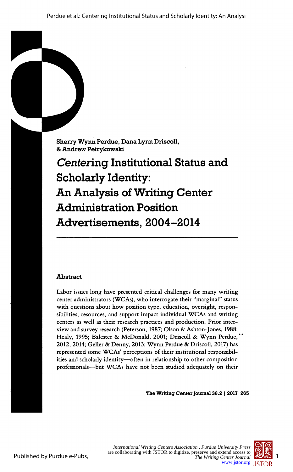Sherry Wynn Perdue, Dana Lynn Driscoll, & Andrew Petrykowski

 Centering Institutional Status and Scholarly Identity: An Analysis of Writing Center Administration Position Advertisements, 2004-2014

### Abstract

 Labor issues long have presented critical challenges for many writing center administrators (WCAs), who interrogate their "marginal" status with questions about how position type, education, oversight, respon sibilities, resources, and support impact individual WCAs and writing centers as well as their research practices and production. Prior inter view and survey research (Peterson, 1987; Olson & Ashton-Jones, 1988; Healy, 1995; Balester & McDonald, 2001; Driscoll & Wynn Perdue, 2012, 2014; Geller & Denny, 2013; Wynn Perdue & Driscoll, 2017) has represented some WCAs' perceptions of their institutional responsibil ities and scholarly identity-often in relationship to other composition professionals—but WCAs have not been studied adequately on their

The Writing Center Journal 36.2 | 2017 265

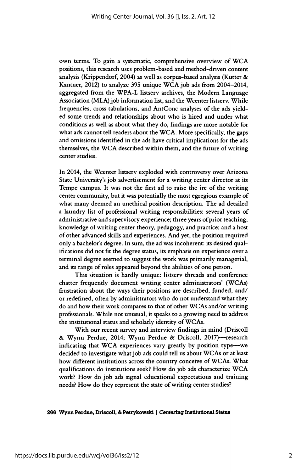own terms. To gain a systematic, comprehensive overview of WCA positions, this research uses problem-based and method-driven content analysis (Krippendorf, 2004) as well as corpus-based analysis (Kutter  $\&$  Kantner, 2012) to analyze 395 unique WCA job ads from 2004-2014, aggregated from the WPA-L listserv archives, the Modern Language Association (MLA) job information list, and the Wcenter listserv. While frequencies, cross tabulations, and AntConc analyses of the ads yield ed some trends and relationships about who is hired and under what conditions as well as about what they do, findings are more notable for what ads cannot tell readers about the WCA. More specifically, the gaps and omissions identified in the ads have critical implications for the ads themselves, the WCA described within them, and the future of writing center studies.

 In 2014, the Wcenter listserv exploded with controversy over Arizona State University's job advertisement for a writing center director at its Tempe campus. It was not the first ad to raise the ire of the writing center community, but it was potentially the most egregious example of what many deemed an unethical position description. The ad detailed a laundry list of professional writing responsibilities: several years of administrative and supervisory experience; three years of prior teaching; knowledge of writing center theory, pedagogy, and practice; and a host of other advanced skills and experiences. And yet, the position required only a bachelor's degree. In sum, the ad was incoherent: its desired qual ifications did not fit the degree status, its emphasis on experience over a terminal degree seemed to suggest the work was primarily managerial, and its range of roles appeared beyond the abilities of one person.

 This situation is hardly unique: listserv threads and conference chatter frequently document writing center administrators' (WCAs) frustration about the ways their positions are described, funded, and/ or redefined, often by administrators who do not understand what they do and how their work compares to that of other WCAs and/or writing professionals. While not unusual, it speaks to a growing need to address the institutional status and scholarly identity of WCAs.

 With our recent survey and interview findings in mind (Driscoll & Wynn Perdue, 2014; Wynn Perdue & Driscoll, 2017)-research indicating that WCA experiences vary greatly by position type-we decided to investigate what job ads could tell us about WCAs or at least how different institutions across the country conceive of WCAs. What qualifications do institutions seek? How do job ads characterize WCA work? How do job ads signal educational expectations and training needs? How do they represent the state of writing center studies?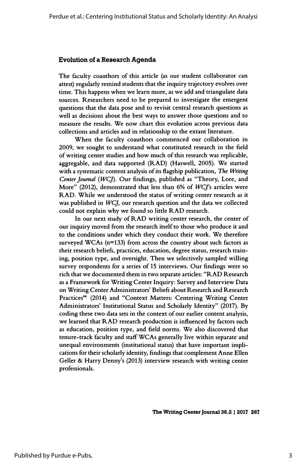#### Evolution of a Research Agenda

 The faculty coauthors of this article (as our student collaborator can attest) regularly remind students that the inquiry trajectory evolves over time. This happens when we learn more, as we add and triangulate data sources. Researchers need to be prepared to investigate the emergent questions that the data pose and to revisit central research questions as well as decisions about the best ways to answer those questions and to measure the results. We now chart this evolution across previous data collections and articles and in relationship to the extant literature.

 When the faculty coauthors commenced our collaboration in 2009, we sought to understand what constituted research in the field of writing center studies and how much of this research was replicable, aggregable, and data supported (RAD) (Haswell, 2005). We started with a systematic content analysis of its flagship publication, The Writing Center Journal (WCJ). Our findings, published as "Theory, Lore, and More" (2012), demonstrated that less than 6% of WCJ's articles were RAD. While we understood the status of writing center research as it was published in  $WCJ$ , our research question and the data we collected could not explain why we found so little RAD research.

 In our next study of RAD writing center research, the center of our inquiry moved from the research itself to those who produce it and to the conditions under which they conduct their work. We therefore surveyed WCAs (n=133) from across the country about such factors as their research beliefs, practices, education, degree status, research train ing, position type, and oversight. Then we selectively sampled willing survey respondents for a series of 15 interviews. Our findings were so rich that we documented them in two separate articles: "RAD Research as a Framework for Writing Center Inquiry: Survey and Interview Data on Writing Center Administrators' Beliefs about Research and Research Practices" (2014) and "Context Matters: Centering Writing Center Administrators' Institutional Status and Scholarly Identity" (2017). By coding these two data sets in the context of our earlier content analysis, we learned that RAD research production is influenced by factors such as education, position type, and field norms. We also discovered that tenure-track faculty and staff WCAs generally live within separate and unequal environments (institutional status) that have important impli cations for their scholarly identity, findings that complement Anne Ellen Geller & Harry Denny's (2013) interview research with writing center professionals.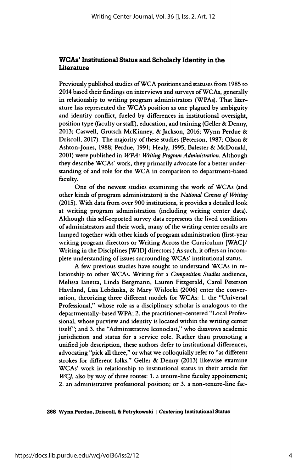#### WCAs' Institutional Status and Scholarly Identity in the **Literature**

 Previously published studies of WCA positions and statuses from 1985 to 2014 based their findings on interviews and surveys of WCAs, generally in relationship to writing program administrators (WPAs). That liter ature has represented the WCA's position as one plagued by ambiguity and identity conflict, fueled by differences in institutional oversight, position type (faculty or staff), education, and training (Geller & Denny, 2013; Caswell, Grutsch McKinney, & Jackson, 2016; Wynn Perdue & Driscoll, 2017). The majority of these studies (Peterson, 1987; Olson & Ashton-Jones, 1988; Perdue, 1991; Healy, 1995; Balester & McDonald, 2001) were published in WPA: Writing Program Administration. Although they describe WCAs' work, they primarily advocate for a better under standing of and role for the WCA in comparison to department-based faculty.

 One of the newest studies examining the work of WCAs (and other kinds of program administrators) is the National Census of Writing (2015). With data from over 900 institutions, it provides a detailed look at writing program administration (including writing center data). Although this self-reported survey data represents the lived conditions of administrators and their work, many of the writing center results are lumped together with other kinds of program administration (first-year writing program directors or Writing Across the Curriculum [WAC]/ Writing in the Disciplines [WID] directors.) As such, it offers an incom plete understanding of issues surrounding WCAs' institutional status.

 A few previous studies have sought to understand WCAs in re lationship to other WCAs. Writing for a Composition Studies audience, Melissa lanetta, Linda Bergmann, Lauren Fitzgerald, Carol Peterson Haviland, Lisa Lebduska, & Mary Wislocki (2006) enter the conver sation, theorizing three different models for WCAs: 1. the "Universal Professional," whose role as a disciplinary scholar is analogous to the departmentally-based WPA; 2. the practitioner-centered "Local Profes sional, whose purview and identity is located within the writing center itself"; and 3. the "Administrative Iconoclast," who disavows academic jurisdiction and status for a service role. Rather than promoting a unified job description, these authors defer to institutional differences, advocating "pick all three," or what we colloquially refer to "as different strokes for different folks." Geller & Denny (2013) likewise examine WCAs\* work in relationship to institutional status in their article for  $WCI$ , also by way of three routes: 1. a tenure-line faculty appointment; 2. an administrative professional position; or 3. a non-tenure-line fac-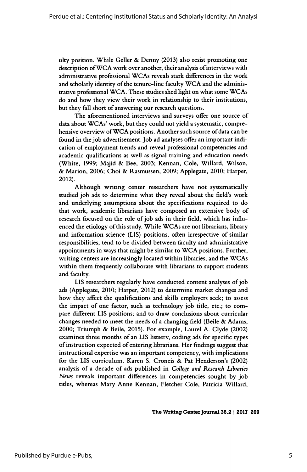ulty position. While Geller & Denny (2013) also resist promoting one description of WCA work over another, their analysis of interviews with administrative professional WCAs reveals stark differences in the work and scholarly identity of the tenure-line faculty WCA and the adminis trative professional WCA. These studies shed light on what some WCAs do and how they view their work in relationship to their institutions, but they fall short of answering our research questions.

 The aforementioned interviews and surveys offer one source of data about WCAs' work, but they could not yield a systematic, compre hensive overview of WCA positions. Another such source of data can be found in the job advertisement. Job ad analyses offer an important indi cation of employment trends and reveal professional competencies and academic qualifications as well as signal training and education needs (White, 1999; Majid & Bee, 2003; Kennan, Cole, Willard, Wilson, & Marion, 2006; Choi & Rasmussen, 2009; Applegate, 2010; Harper, 2012).

 Although writing center researchers have not systematically studied job ads to determine what they reveal about the field's work and underlying assumptions about the specifications required to do that work, academic librarians have composed an extensive body of research focused on the role of job ads in their field, which has influ enced the etiology of this study. While WCAs are not librarians, library and information science (LIS) positions, often irrespective of similar responsibilities, tend to be divided between faculty and administrative appointments in ways that might be similar to WCA positions. Further, writing centers are increasingly located within libraries, and the WCAs within them frequently collaborate with librarians to support students and faculty.

 LIS researchers regularly have conducted content analyses of job ads (Applegate, 2010; Harper, 2012) to determine market changes and how they affect the qualifications and skills employers seek; to assess the impact of one factor, such as technology job title, etc.; to com pare different LIS positions; and to draw conclusions about curricular changes needed to meet the needs of a changing field (Beile  $\&$  Adams, 2000; Triumph & Beile, 2015). For example, Laurel A. Clyde (2002) examines three months of an LIS listserv, coding ads for specific types of instruction expected of entering librarians. Her findings suggest that instructional expertise was an important competency, with implications for the LIS curriculum. Karen S. Croneis & Pat Henderson's (2002) analysis of a decade of ads published in College and Research Libraries News reveals important differences in competencies sought by job titles, whereas Mary Anne Kennan, Fletcher Cole, Patricia Willard,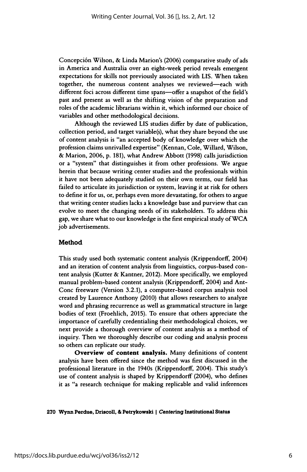Concepción Wilson, & Linda Marion's (2006) comparative study of ads in America and Australia over an eight-week period reveals emergent expectations for skills not previously associated with LIS. When taken together, the numerous content analyses we reviewed-each with different foci across different time spans-offer a snapshot of the field's past and present as well as the shifting vision of the preparation and roles of the academic librarians within it, which informed our choice of variables and other methodological decisions.

 Although the reviewed LIS studies differ by date of publication, collection period, and target variable(s), what they share beyond the use of content analysis is "an accepted body of knowledge over which the profession claims unrivalled expertise" (Kennan, Cole, Willard, Wilson, & Marion, 2006, p. 181), what Andrew Abbott (1998) calls jurisdiction or a "system" that distinguishes it from other professions. We argue herein that because writing center studies and the professionals within it have not been adequately studied on their own terms, our field has failed to articulate its jurisdiction or system, leaving it at risk for others to define it for us, or, perhaps even more devastating, for others to argue that writing center studies lacks a knowledge base and purview that can evolve to meet the changing needs of its stakeholders. To address this gap, we share what to our knowledge is the first empirical study of WCA job advertisements.

#### Method

 This study used both systematic content analysis (Krippendorff, 2004) and an iteration of content analysis from linguistics, corpus-based con tent analysis (Kutter & Kantner, 2012). More specifically, we employed manual problem-based content analysis (Krippendorff, 2004) and Ant- Conc freeware (Version 3.2.1), a computer-based corpus analysis tool created by Laurence Anthony (2010) that allows researchers to analyze word and phrasing recurrence as well as grammatical structure in large bodies of text (Froehlich, 2015). To ensure that others appreciate the importance of carefully credentialing their methodological choices, we next provide a thorough overview of content analysis as a method of inquiry. Then we thoroughly describe our coding and analysis process so others can replicate our study.

 Overview of content analysis. Many definitions of content analysis have been offered since the method was first discussed in the professional literature in the 1940s (Krippendorff, 2004). This study's use of content analysis is shaped by Krippendorff (2004), who defines it as "a research technique for making replicable and valid inferences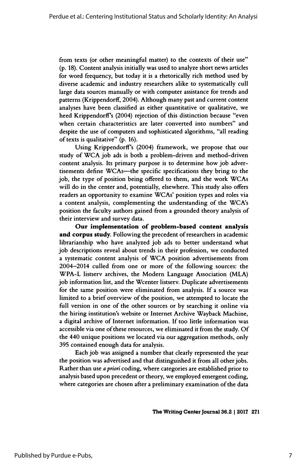from texts (or other meaningful matter) to the contexts of their use" (p. 18). Content analysis initially was used to analyze short news articles for word frequency, but today it is a rhetorically rich method used by diverse academic and industry researchers alike to systematically cull large data sources manually or with computer assistance for trends and patterns (Krippendorff, 2004). Although many past and current content analyses have been classified as either quantitative or qualitative, we heed KrippendorfFs (2004) rejection of this distinction because "even when certain characteristics are later converted into numbers" and despite the use of computers and sophisticated algorithms, "all reading of texts is qualitative" (p. 16).

 Using KrippendorfFs (2004) framework, we propose that our study of WCA job ads is both a problem-driven and method-driven content analysis. Its primary purpose is to determine how job adver tisements define WCAs—the specific specifications they bring to the job, the type of position being offered to them, and the work WCAs will do in the center and, potentially, elsewhere. This study also offers readers an opportunity to examine WCAs' position types and roles via a content analysis, complementing the understanding of the WCA's position the faculty authors gained from a grounded theory analysis of their interview and survey data.

 Our implementation of problem-based content analysis and corpus study. Following the precedent of researchers in academic librarianship who have analyzed job ads to better understand what job descriptions reveal about trends in their profession, we conducted a systematic content analysis of WCA position advertisements from 2004-2014 culled from one or more of the following sources: the WPA-L listserv archives, the Modern Language Association (MLA) job information list, and the Wcenter listserv. Duplicate advertisements for the same position were eliminated from analysis. If a source was limited to a brief overview of the position, we attempted to locate the full version in one of the other sources or by searching it online via the hiring institution's website or Internet Archive Wayback Machine, a digital archive of Internet information. If too little information was accessible via one of these resources, we eliminated it from the study. Of the 440 unique positions we located via our aggregation methods, only 395 contained enough data for analysis.

 Each job was assigned a number that clearly represented the year the position was advertised and that distinguished it from all other jobs. Rather than use a priori coding, where categories are established prior to analysis based upon precedent or theory, we employed emergent coding, where categories are chosen after a preliminary examination of the data

The Writing Center Journal 36.2 | 2017 271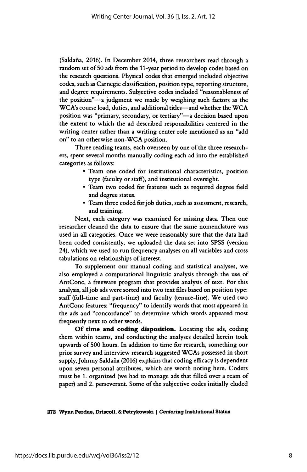(Saldaña, 2016). In December 2014, three researchers read through a random set of 50 ads from the 11 -year period to develop codes based on the research questions. Physical codes that emerged included objective codes, such as Carnegie classification, position type, reporting structure, and degree requirements. Subjective codes included "reasonableness of the position"-a judgment we made by weighing such factors as the WCA's course load, duties, and additional titles-and whether the WCA position was "primary, secondary, or tertiary"—a decision based upon the extent to which the ad described responsibilities centered in the writing center rather than a writing center role mentioned as an "add on" to an otherwise non-WCA position.

 Three reading teams, each overseen by one of the three research ers, spent several months manually coding each ad into the established categories as follows:

- Team one coded for institutional characteristics, position type (faculty or staff), and institutional oversight.
- Team two coded for features such as required degree field and degree status.
- Team three coded for job duties, such as assessment, research, and training.

 Next, each category was examined for missing data. Then one researcher cleaned the data to ensure that the same nomenclature was used in all categories. Once we were reasonably sure that the data had been coded consistently, we uploaded the data set into SPSS (version 24), which we used to run frequency analyses on all variables and cross tabulations on relationships of interest.

 To supplement our manual coding and statistical analyses, we also employed a computational linguistic analysis through the use of AntConc, a freeware program that provides analysis of text. For this analysis, all job ads were sorted into two text files based on position type: staff (full-time and part-time) and faculty (tenure-line). We used two AntConc features: "frequency" to identify words that most appeared in the ads and "concordance" to determine which words appeared most frequently next to other words.

 Of time and coding disposition. Locating the ads, coding them within teams, and conducting the analyses detailed herein took upwards of 500 hours. In addition to time for research, something our prior survey and interview research suggested WCAs possessed in short supply, Johnny Saldaña (2016) explains that coding efficacy is dependent upon seven personal attributes, which are worth noting here. Coders must be 1. organized (we had to manage ads that filled over a ream of paper) and 2. perseverant. Some of the subjective codes initially eluded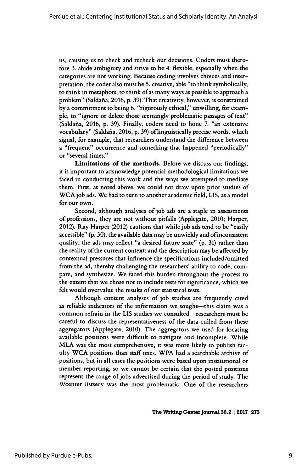us, causing us to check and recheck our decisions. Coders must there fore 3. abide ambiguity and strive to be 4. flexible, especially when the categories are not working. Because coding involves choices and inter pretation, the coder also must be 5. creative, able "to think symbolically, to think in metaphors, to think of as many ways as possible to approach a problem" (Saldaña, 2016, p. 39). That creativity, however, is constrained by a commitment to being 6. "rigorously ethical," unwilling, for exam ple, to "ignore or delete those seemingly problematic passages of text" (Saldaña, 2016, p. 39). Finally, coders need to hone 7. "an extensive vocabulary" (Saldaña, 2016, p. 39) of linguistically precise words, which signal, for example, that researchers understand the difference between a "frequent" occurrence and something that happened "periodically" or "several times."

 Limitations of the methods. Before we discuss our findings, it is important to acknowledge potential methodological limitations we faced in conducting this work and the ways we attempted to mediate them. First, as noted above, we could not draw upon prior studies of WCA job ads. We had to turn to another academic field, LIS, as a model for our own.

 Second, although analyses of job ads are a staple in assessments of professions, they are not without pitfalls (Applegate, 2010; Harper, 2012). Ray Harper (2012) cautions that while job ads tend to be "easily accessible" (p. 30), the available data may be unwieldy and of inconsistent quality; the ads may reflect "a desired future state" (p. 31) rather than the reality of the current context; and the description may be affected by contextual pressures that influence the specifications included/omitted from the ad, thereby challenging the researchers' ability to code, com pare, and synthesize. We faced this burden throughout the process to the extent that we chose not to include tests for significance, which we felt would overvalue the results of our statistical tests.

 Although content analyses of job studies are frequently cited as reliable indicators of the information we sought-this claim was a common refrain in the LIS studies we consulted—researchers must be careful to discuss the representativeness of the data culled from these aggregators (Applegate, 2010). The aggregators we used for locating available positions were difficult to navigate and incomplete. While MLA was the most comprehensive, it was more likely to publish fac ulty WCA positions than staff ones. WPA had a searchable archive of positions, but in all cases the positions were based upon institutional or member reporting, so we cannot be certain that the posted positions represent the range of jobs advertised during the period of study. The Wcenter listserv was the most problematic. One of the researchers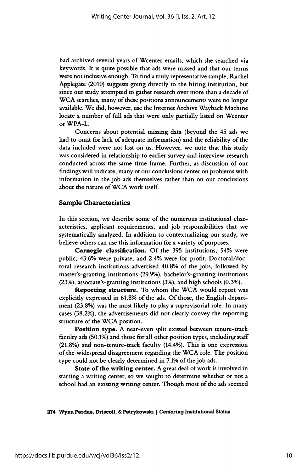had archived several years of Wcenter emails, which she searched via keywords. It is quite possible that ads were missed and that our terms were not inclusive enough. To find a truly representative sample, Rachel Applegate (2010) suggests going directly to the hiring institution, but since our study attempted to gather research over more than a decade of WCA searches, many of these positions announcements were no longer available. We did, however, use the Internet Archive Wayback Machine locate a number of full ads that were only partially listed on Wcenter or WPA-L.

 Concerns about potential missing data (beyond the 45 ads we had to omit for lack of adequate information) and the reliability of the data included were not lost on us. However, we note that this study was considered in relationship to earlier survey and interview research conducted across the same time frame. Further, as discussion of our findings will indicate, many of our conclusions center on problems with information in the job ads themselves rather than on our conclusions about the nature of WCA work itself.

#### Sample Characteristics

 In this section, we describe some of the numerous institutional char acteristics, applicant requirements, and job responsibilities that we systematically analyzed. In addition to contextualizing our study, we believe others can use this information for a variety of purposes.

 Carnegie classification. Of the 395 institutions, 54% were public, 43.6% were private, and 2.4% were for-profit. Doctoral/doc toral research institutions advertised 40.8% of the jobs, followed by master's-granting institutions (29.9%), bachelor's-granting institutions (23%), associate's-granting institutions (3%), and high schools (0.3%).

 Reporting structure. To whom the WCA would report was explicitly expressed in 61.8% of the ads. Of those, the English depart ment (23.8%) was the most likely to play a supervisorial role. In many cases (38.2%), the advertisements did not clearly convey the reporting structure of the WCA position.

 Position type. A near-even split existed between tenure-track faculty ads (50.1%) and those for all other position types, including staff (21.8%) and non-tenure-track faculty (14.4%). This is one expression of the widespread disagreement regarding the WCA role. The position type could not be clearly determined in 7.1% of the job ads.

State of the writing center. A great deal of work is involved in starting a writing center, so we sought to determine whether or not a school had an existing writing center. Though most of the ads seemed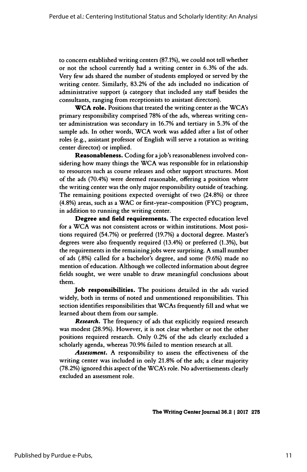to concern established writing centers (87.1%), we could not tell whether or not the school currently had a writing center in 6.3% of the ads. Very few ads shared the number of students employed or served by the writing center. Similarly, 83.2% of the ads included no indication of administrative support (a category that included any staff besides the consultants, ranging from receptionists to assistant directors).

 WCA role. Positions that treated the writing center as the WCA's primary responsibility comprised 78% of the ads, whereas writing cen ter administration was secondary in 16.7% and tertiary in 5.3% of the sample ads. In other words, WCA work was added after a list of other roles (e.g., assistant professor of English will serve a rotation as writing center director) or implied.

 Reasonableness. Coding for a job's reasonableness involved con sidering how many things the WCA was responsible for in relationship to resources such as course releases and other support structures. Most of the ads (70.4%) were deemed reasonable, offering a position where the writing center was the only major responsibility outside of teaching. The remaining positions expected oversight of two (24.8%) or three (4.8%) areas, such as a WAC or first-year-composition (FYC) program, in addition to running the writing center.

 Degree and field requirements. The expected education level for a WCA was not consistent across or within institutions. Most posi tions required (54.7%) or preferred (19.7%) a doctoral degree. Master's degrees were also frequently required (13.4%) or preferred (1.3%), but the requirements in the remaining jobs were surprising. A small number of ads (.8%) called for a bachelor's degree, and some (9.6%) made no mention of education. Although we collected information about degree fields sought, we were unable to draw meaningful conclusions about them.

Job responsibilities. The positions detailed in the ads varied widely, both in terms of noted and unmentioned responsibilities. This section identifies responsibilities that WCAs frequently fill and what we learned about them from our sample.

**Research.** The frequency of ads that explicitly required research was modest (28.9%). However, it is not clear whether or not the other positions required research. Only 0.2% of the ads clearly excluded a scholarly agenda, whereas 70.9% failed to mention research at all.

Assessment. A responsibility to assess the effectiveness of the writing center was included in only 21.8% of the ads; a clear majority (78.2%) ignored this aspect of the WCA's role. No advertisements clearly excluded an assessment role.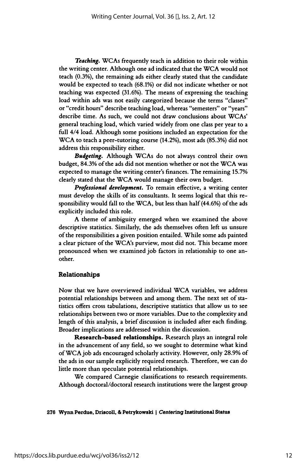Teaching. WCAs frequently teach in addition to their role within the writing center. Although one ad indicated that the WCA would not teach (0.3%), the remaining ads either clearly stated that the candidate would be expected to teach (68.1%) or did not indicate whether or not teaching was expected (31.6%). The means of expressing the teaching load within ads was not easily categorized because the terms "classes" or "credit hours" describe teaching load, whereas "semesters" or "years" describe time. As such, we could not draw conclusions about WCAs' general teaching load, which varied widely from one class per year to a full 4/4 load. Although some positions included an expectation for the WCA to teach a peer-tutoring course (14.2%), most ads (85.3%) did not address this responsibility either.

Budgeting. Although WCAs do not always control their own budget, 84.3% of the ads did not mention whether or not the WCA was expected to manage the writing center's finances. The remaining 15.7% clearly stated that the WCA would manage their own budget.

 Professional development. To remain effective, a writing center must develop the skills of its consultants. It seems logical that this re sponsibility would fall to the WCA, but less than half (44.6%) of the ads explicitly included this role.

 A theme of ambiguity emerged when we examined the above descriptive statistics. Similarly, the ads themselves often left us unsure of the responsibilities a given position entailed. While some ads painted a clear picture of the WCA's purview, most did not. This became more pronounced when we examined job factors in relationship to one an other.

#### Relationships

 Now that we have overviewed individual WCA variables, we address potential relationships between and among them. The next set of sta tistics offers cross tabulations, descriptive statistics that allow us to see relationships between two or more variables. Due to the complexity and length of this analysis, a brief discussion is included after each finding. Broader implications are addressed within the discussion.

 Research-based relationships. Research plays an integral role in the advancement of any field, so we sought to determine what kind of WCA job ads encouraged scholarly activity. However, only 28.9% of the ads in our sample explicitly required research. Therefore, we can do little more than speculate potential relationships.

 We compared Carnegie classifications to research requirements. Although doctoral/doctoral research institutions were the largest group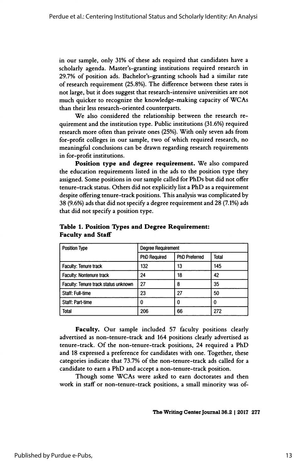in our sample, only 31% of these ads required that candidates have a scholarly agenda. Master's-granting institutions required research in 29.7% of position ads. Bachelor's-granting schools had a similar rate of research requirement (25.8%). The difference between these rates is not large, but it does suggest that research-intensive universities are not much quicker to recognize the knowledge-making capacity of WCAs than their less research-oriented counterparts.

 We also considered the relationship between the research re quirement and the institution type. Public institutions (31.6%) required research more often than private ones (25%). With only seven ads from for-profit colleges in our sample, two of which required research, no meaningful conclusions can be drawn regarding research requirements in for-profit institutions.

 Position type and degree requirement. We also compared the education requirements listed in the ads to the position type they assigned. Some positions in our sample called for PhDs but did not offer tenure-track status. Others did not explicitly list a PhD as a requirement despite offering tenure-track positions. This analysis was complicated by 38 (9.6%) ads that did not specify a degree requirement and 28 (7.1%) ads that did not specify a position type.

| <b>Position Type</b><br><b>Degree Requirement</b><br><b>Degree Requirement</b> |                                      |  |  |
|--------------------------------------------------------------------------------|--------------------------------------|--|--|
|                                                                                | PhD Required   PhD Preferred   Total |  |  |
| <b>Faculty: Tenure track</b>                                                   |                                      |  |  |
| <b>Faculty: Nontenure track</b>                                                |                                      |  |  |
| Faculty: Tenure track status unknown                                           |                                      |  |  |
| Staff: Full-time                                                               |                                      |  |  |
| taff: Part-time                                                                |                                      |  |  |
|                                                                                | —— <del>———</del>                    |  |  |
|                                                                                |                                      |  |  |
| Faculty. Our sample included 57 faculty positions clearly                      |                                      |  |  |
| advertised as non-tenure-track and 164 positions clearly advertised as         |                                      |  |  |
| tenure-track. Of the non-tenure-track positions, 24 required a PhD             |                                      |  |  |
| and 18 expressed a preference for candidates with one. Together, these         |                                      |  |  |

#### Table 1. Position Types and Degree Requirement: Faculty and Staff

Staff: Full-time<br>
Staff: Part-time<br>
Total<br>
Total<br>
Total<br>
Total<br>
Total<br>
Total<br>
2006 66 272<br>
Taculty. Our sample included 57 faculty positions clearly<br>
advertised as non-tenure-track and 164 positions, 24 required a PhD<br>
and racury. Our sample medaded 37 tactivy positions clearly<br>advertised as non-tenure-track and 164 positions clearly advertised as<br>tenure-track. Of the non-tenure-track positions, 24 required a PhD<br>and 18 expressed a preferenc and 18 expressed a preference for candidates with one. Together, these Total<br>
Faculty. Our sample included 57 faculty positions clearly<br>
advertised as non-tenure-track and 164 positions clearly advertised as<br>
tenure-track. Of the non-tenure-track positions, 24 required a PhD<br>
and 18 expressed Faculty. Our sample included 57 faculty positions clearly<br>advertised as non-tenure-track and 164 positions clearly advertised as<br>tenure-track. Of the non-tenure-track positions, 24 required a PhD<br>and 18 expressed a prefere Faculty. Our sample included 57 faculty positions clearly<br>ised as non-tenure-track and 164 positions clearly advertised as<br>e-track. Of the non-tenure-track positions, 24 required a PhD<br>3 expressed a preference for candidat

The Writing Center Journal 36.2 | 2017 277<br>The Writing Center Journal 36.2 | 2017 277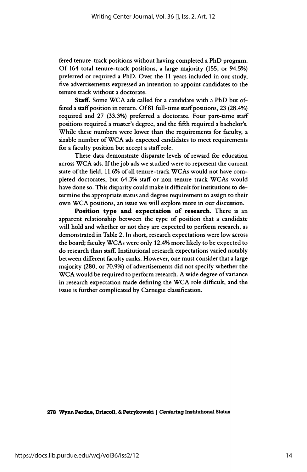fered tenure-track positions without having completed a PhD program. Of 164 total tenure-track positions, a large majority (155, or 94.5%) preferred or required a PhD. Over the 11 years included in our study, five advertisements expressed an intention to appoint candidates to the tenure track without a doctorate.

Staff. Some WCA ads called for a candidate with a PhD but of fered a staff position in return. Of 81 full-time staff positions, 23 (28.4%) required and 27 (33.3%) preferred a doctorate. Four part-time staff positions required a master's degree, and the fifth required a bachelor's. While these numbers were lower than the requirements for faculty, a sizable number of WCA ads expected candidates to meet requirements for a faculty position but accept a staff role.

 These data demonstrate disparate levels of reward for education across WCA ads. If the job ads we studied were to represent the current state of the field, 11.6% of all tenure-track WCAs would not have com pleted doctorates, but 64.3% staff or non-tenure-track WCAs would have done so. This disparity could make it difficult for institutions to de termine the appropriate status and degree requirement to assign to their own WCA positions, an issue we will explore more in our discussion.

Position type and expectation of research. There is an apparent relationship between the type of position that a candidate will hold and whether or not they are expected to perform research, as demonstrated in Table 2. In short, research expectations were low across the board; faculty WCAs were only 12.4% more likely to be expected to do research than staff. Institutional research expectations varied notably between different faculty ranks. However, one must consider that a large majority (280, or 70.9%) of advertisements did not specify whether the WCA would be required to perform research. A wide degree of variance in research expectation made defining the WCA role difficult, and the issue is further complicated by Carnegie classification.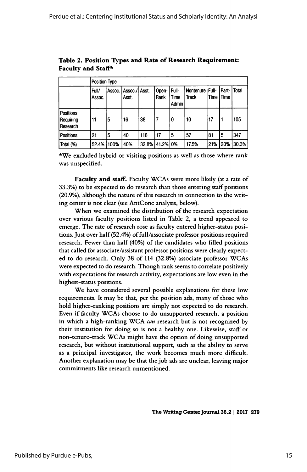|                                           |                 | Position Type |                        |       |               |                               |                            |      |                 |              |
|-------------------------------------------|-----------------|---------------|------------------------|-------|---------------|-------------------------------|----------------------------|------|-----------------|--------------|
|                                           | Full/<br>Assoc. | Assoc.        | Assoc./IAsst.<br>Asst. |       | Open-<br>Rank | Full-<br>Time<br><b>Admin</b> | Nontenure   Full-<br>Track | Time | Part-<br>l Time | <b>Total</b> |
| <b>Positions</b><br>Requiring<br>Research | 11              | 5             | 16                     | 38    |               | 0                             | 10                         | 17   | 1               | 105          |
| <b>Positions</b>                          | 21              | 5             | 40                     | 116   | .17           | 5                             | 57                         | 81   | 5               | 347          |
| Total (%)                                 | 52.4%           | 100%          | 40%                    | 32.8% | 41.2%         | 0%                            | 17.5%                      | 21%  | 20%             | 30.3%        |

 Table 2. Position Types and Rate of Research Requirement: Faculty and Staff\*

 \*We excluded hybrid or visiting positions as well as those where rank was unspecified.

Faculty and staff. Faculty WCAs were more likely (at a rate of 33.3%) to be expected to do research than those entering staff positions (20.9%), although the nature of this research in connection to the writ ing center is not clear (see AntConc analysis, below).

 When we examined the distribution of the research expectation over various faculty positions listed in Table 2, a trend appeared to emerge. The rate of research rose as faculty entered higher-status posi tions. Just over half (52.4%) of full/associate professor positions required research. Fewer than half (40%) of the candidates who filled positions that called for associate/assistant professor positions were clearly expect ed to do research. Only 38 of 114 (32.8%) associate professor WCAs were expected to do research. Though rank seems to correlate positively with expectations for research activity, expectations are low even in the highest-status positions.

 We have considered several possible explanations for these low requirements. It may be that, per the position ads, many of those who hold higher-ranking positions are simply not expected to do research. Even if faculty WCAs choose to do unsupported research, a position in which a high-ranking WCA can research but is not recognized by their institution for doing so is not a healthy one. Likewise, staff or non-tenure-track WCAs might have the option of doing unsupported research, but without institutional support, such as the ability to serve as a principal investigator, the work becomes much more difficult. Another explanation may be that the job ads are unclear, leaving major commitments like research unmentioned.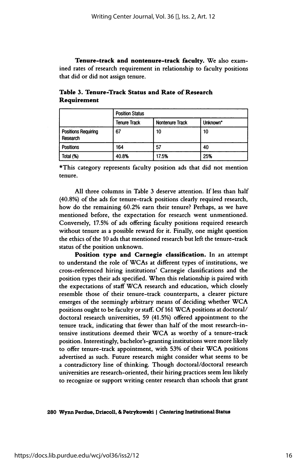Tenure-track and nontenure-track faculty. We also exam ined rates of research requirement in relationship to faculty positions that did or did not assign tenure.

| Nontenure Track<br>t Unknown'                                       |  |
|---------------------------------------------------------------------|--|
|                                                                     |  |
|                                                                     |  |
|                                                                     |  |
|                                                                     |  |
|                                                                     |  |
|                                                                     |  |
|                                                                     |  |
|                                                                     |  |
|                                                                     |  |
| *This category represents faculty position ads that did not mention |  |
|                                                                     |  |
|                                                                     |  |

 Table 3. Tenure-Track Status and Rate of Research Requirement

 All three columns in Table 3 deserve attention. If less than half (40.8%) of the ads for tenure-track positions clearly required research, how do the remaining 60.2% earn their tenure? Perhaps, as we have mentioned before, the expectation for research went unmentioned. Conversely, 17.5% of ads offering faculty positions required research without tenure as a possible reward for it. Finally, one might question the ethics of the 10 ads that mentioned research but left the tenure-track status of the position unknown.

 Position type and Carnegie classification. In an attempt to understand the role of WCAs at different types of institutions, we cross-referenced hiring institutions' Carnegie classifications and the position types their ads specified. When this relationship is paired with the expectations of staff WCA research and education, which closely resemble those of their tenure-track counterparts, a clearer picture emerges of the seemingly arbitrary means of deciding whether WCA positions ought to be faculty or staff. Of 161 WCA positions at doctoral/ doctoral research universities, 59 (41.5%) offered appointment to the tenure track, indicating that fewer than half of the most research-in tensive institutions deemed their WCA as worthy of a tenure-track position. Interestingly, bachelor's-granting institutions were more likely to offer tenure-track appointment, with 53% of their WCA positions advertised as such. Future research might consider what seems to be a contradictory line of thinking. Though doctoral/doctoral research universities are research-oriented, their hiring practices seem less likely to recognize or support writing center research than schools that grant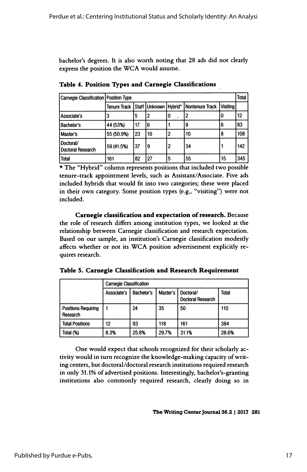bachelor's degrees. It is also worth noting that 28 ads did not clearly express the position the WCA would assume.

| Carnegie Classification Position Type                                 |  |
|-----------------------------------------------------------------------|--|
| Tenure Track   Staff   Unknown   Hybrid*   Nontenure Track   Visiting |  |
| Associate's<br>________________________                               |  |
| <b>Bachelor's</b><br>144 (53%) 117 16<br>——                           |  |
| Master's<br>$\left  55(50.9\%) \right  23 \left  10 \right $          |  |
| Doctoral/<br>  59 (41.5%)   37   9<br>Doctoral Research               |  |
|                                                                       |  |

Table 4. Position Types and Carnegie Classifications

\* The "Hybrid" column represents positions that included two possible  $\begin{array}{|l|l|l|l|}\n\hline\n \text{total} & \text{fsy (41.5%)} & \text{37} & \text{9} & \text{2} & \text{34} & \text{1} & \text{142} \\
\hline\n \text{Total} & \text{161} & \text{82} & \text{27} & \text{5} & \text{55} & \text{15} & \text{345} \\
\hline\n\end{array}$ <br>
\* The "Hybrid" column represents positions that included two possible Total 161 82 27 5 5 55 15 345<br>
\* The "Hybrid" column represents positions that included two possible<br>
tenure-track appointment levels, such as Assistant/Associate. Five ads<br>
included hybrids that would fit into two categor  $\star$  The "Hybrid" column represents positions that included two possible<br>tenure-track appointment levels, such as Assistant/Associate. Five ads<br>included hybrids that would fit into two categories; these were placed<br>in the included.

 Carnegie classification and expectation of research. Because the role of research differs among institution types, we looked at the relationship between Carnegie classification and research expectation. Based on our sample, an institution's Carnegie classification modestly affects whether or not its WCA position advertisement explicitly re quires research.

| Table 5. Carnegie Classification and Research Requirement |  |
|-----------------------------------------------------------|--|
|-----------------------------------------------------------|--|

|                                        |             | <b>Carnegie Classification</b> |          |                                       |       |  |  |
|----------------------------------------|-------------|--------------------------------|----------|---------------------------------------|-------|--|--|
|                                        | Associate's | Bachelor's                     | Master's | Doctoral/<br><b>Doctoral Research</b> | Total |  |  |
| <b>Positions Requiring</b><br>Research |             | 24                             | 35       | 50                                    | 110   |  |  |
| <b>Total Positions</b>                 | 12          | 93                             | 118      | 161                                   | 384   |  |  |
| Total (%)                              | 8.3%        | 25.8%                          | 29.7%    | 31.1%                                 | 28.6% |  |  |

One would expect that schools recognized for their scholarly ac-One would expect that schools recognized for their scholarly ac-<br>tivity would in turn recognize the knowledge-making capacity of writ-<br>ing centers, but doctoral (doctoral receases) institutions required receases tivity would in turn recognize the knowledge-making capacity of writ-<br>ing centers, but doctoral/doctoral research institutions required research<br>in only 31.1% of education positions. Interestingly, besheler's granting ing centers, but doctoral/doctoral research institutions required research<br>in only 31.1% of advertised positions. Interestingly, bachelor's-granting<br>institutions, also, commonly, required, research, clearly, doing so, in in only 31.1% of advertised positions. Interestingly, bachelor's-granting<br>institutions also commonly required research, clearly doing so in

The Writing Center Journal 36.2 | 2017 281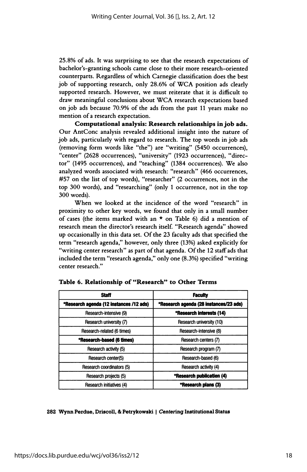25.8% of ads. It was surprising to see that the research expectations of bachelor's-granting schools came close to their more research-oriented counterparts. Regardless of which Carnegie classification does the best job of supporting research, only 28.6% of WCA position ads clearly supported research. However, we must reiterate that it is difficult to draw meaningful conclusions about WCA research expectations based on job ads because 70.9% of the ads from the past 11 years make no mention of a research expectation.

 Computational analysis: Research relationships in job ads. Our AntConc analysis revealed additional insight into the nature of job ads, particularly with regard to research. The top words in job ads (removing form words like "the") are "writing" (5450 occurrences), "center" (2628 occurrences), "university" (1923 occurrences), "direc tor" (1495 occurrences), and "teaching" (1384 occurrences). We also analyzed words associated with research: "research" (466 occurrences, #57 on the list of top words), "researcher" (2 occurrences, not in the top 300 words), and "researching" (only 1 occurrence, not in the top 300 words).

 When we looked at the incidence of the word "research" in proximity to other key words, we found that only in a small number of cases (the items marked with an  $\star$  on Table 6) did a mention of research mean the director's research itself. "Research agenda" showed up occasionally in this data set. Of the 23 faculty ads that specified the term "research agenda," however, only three (13%) asked explicitly for "writing center research" as part of that agenda. Of the 12 staff ads that included the term "research agenda," only one (8.3%) specified "writing center research."

| <b>Staff</b>                            | <b>Faculty</b>                         |
|-----------------------------------------|----------------------------------------|
| *Research agenda (12 instances /12 ads) | *Research agenda (28 instances/23 ads) |
| Research-intensive (9)                  | *Research interests (14)               |
| Research university (7)                 | Research university (10)               |
| Research-related (6 times)              | Research-intensive (8)                 |
| *Research-based (6 times)               | Research centers (7)                   |
| Research activity (5)                   | Research program (7)                   |
| Research center(5)                      | Research-based (6)                     |
| Research coordinators (5)               | Research activity (4)                  |
| Research projects (5)                   | *Research publicatien (4)              |
| Research initiatives (4)                | <b>*Research plans (3)</b>             |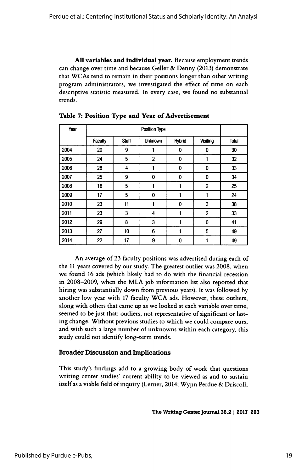All variables and individual year. Because employment trends can change over time and because Geller & Denny (2013) demonstrate that WCAs tend to remain in their positions longer than other writing program administrators, we investigated the effect of time on each descriptive statistic measured. In every case, we found no substantial trends.

| <b>Position Type</b>                                                                                                                           |
|------------------------------------------------------------------------------------------------------------------------------------------------|
|                                                                                                                                                |
|                                                                                                                                                |
| Faculty Staff Unknown Hybrid Visiting Total                                                                                                    |
|                                                                                                                                                |
|                                                                                                                                                |
|                                                                                                                                                |
|                                                                                                                                                |
|                                                                                                                                                |
|                                                                                                                                                |
|                                                                                                                                                |
|                                                                                                                                                |
|                                                                                                                                                |
|                                                                                                                                                |
|                                                                                                                                                |
| ╶╼╼╾╾╂╼╾╾ <u>╤╼╌╁╾╾╤╓╌╌╂╼╼╼╤┈┈╁╌╾╾╤┈╌╁╶╼╼╤┉┉╁╌╌╤</u> ╌╼ <i>╴</i>                                                                               |
| $-14$ 22 17 9 0 1 1 4 4 5                                                                                                                      |
|                                                                                                                                                |
| An average of 23 faculty positions was advertised during each of                                                                               |
|                                                                                                                                                |
| the 11 years covered by our study. The greatest outlier was 2008, when<br>we found 16 ads (which likely had to do with the financial recession |
|                                                                                                                                                |
| in 2008–2009, when the MLA job information list also reported that                                                                             |

Table 7: Position Type and Year of Advertisement

2012 29 8 3 1 0 41<br>
2013 27 10 6 1 5 49<br>
2014 22 17 9 0 1 49<br>
An average of 23 faculty positions was advertised during each of<br>
the 11 years covered by our study. The greatest outlier was 2008, when<br>
we found 16 ads (whic and the state of 23 faculty positions was advertised during each of the 11 years covered by our study. The greatest outlier was 2008, when we found 16 ads (which likely had to do with the financial recession in 2008–2009, 2013 27 10 6 1 5 49<br>2014 22 17 9 0 1 49<br>2014 22 17 9 0 1 49<br>49<br>2014 22 17 9 0 1 49<br>49<br>2014 22 17 9 0 1 49<br>49<br>40<br>40<br>40<br>40<br>40<br>40<br>40<br>6 the 11 years covered by our study. The greatest outlier was 2008, when<br>we found 16 ads (w 2014 22 17 9 0 1 49<br>
An average of 23 faculty positions was advertised during each of<br>
the 11 years covered by our study. The greatest outlier was 2008, when<br>
we found 16 ads (which likely had to do with the financial rec In average of 25 factory positions was advertised uting each of<br>the 11 years covered by our study. The greatest outlier was 2008, when<br>we found 16 ads (which likely had to do with the financial recession<br>in 2008–2009, when An average of 23 faculty positions was advertised during each of<br>the 11 years covered by our study. The greatest outlier was 2008, when<br>we found 16 ads (which likely had to do with the financial recession<br>in 2008–2009, whe we found 16 ads (which likely had to do with the financial recession<br>in 2008–2009, when the MLA job information list also reported that<br>hiring was substantially down from previous years). It was followed by<br>another low yea the 11 years covered by our study. The greatest outher was 2008, when<br>we found 16 ads (which likely had to do with the financial recession<br>in 2008–2009, when the MLA job information list also reported that<br>hiring was subst In 2000–2009, when the MLA job information ist also reported that<br>hiring was substantially down from previous years). It was followed by<br>another low year with 17 faculty WCA ads. However, these outliers,<br>along with others hiring was substantially down from previous years). It was followed by<br>another low year with 17 faculty WCA ads. However, these outliers,<br>along with others that came up as we looked at each variable over time,<br>seemed to be seemed to be just that: outliers, not representative of significant or last-<br>ing change. Without previous studies to which we could compare ours,<br>and with such a large number of unknowns within each category, this<br>study co

ing change. Without previous studies to which we could compare ours,<br>and with such a large number of unknowns within each category, this<br>study could not identify long-term trends.<br>**Broader Discussion and Implications**<br>This and with such a large number of unknowns within each category, this<br>study could not identify long-term trends.<br>**Broader Discussion and Implications**<br>This study's findings add to a growing body of work that questions<br>writin wing body of work that questions<br>lity to be viewed as and to sustain<br>mer, 2014; Wynn Perdue & Driscoll,<br>The Writing Center Journal 36.2 | 2017 283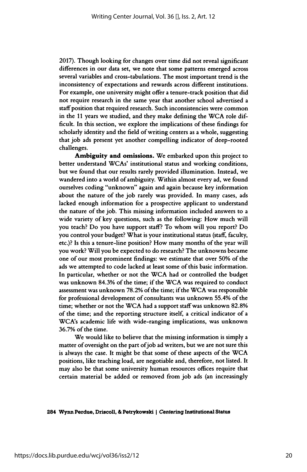2017). Though looking for changes over time did not reveal significant differences in our data set, we note that some patterns emerged across several variables and cross- tabulations. The most important trend is the inconsistency of expectations and rewards across different institutions. For example, one university might offer a tenure-track position that did not require research in the same year that another school advertised a staff position that required research. Such inconsistencies were common in the 11 years we studied, and they make defining the WCA role dif ficult. In this section, we explore the implications of these findings for scholarly identity and the field of writing centers as a whole, suggesting that job ads present yet another compelling indicator of deep-rooted challenges.

 Ambiguity and omissions. We embarked upon this project to better understand WCAs' institutional status and working conditions, but we found that our results rarely provided illumination. Instead, we wandered into a world of ambiguity. Within almost every ad, we found ourselves coding "unknown" again and again because key information about the nature of the job rarely was provided. In many cases, ads lacked enough information for a prospective applicant to understand the nature of the job. This missing information included answers to a wide variety of key questions, such as the following: How much will you teach? Do you have support staff? To whom will you report? Do you control your budget? What is your institutional status (staff, faculty, etc.)? Is this a tenure-line position? How many months of the year will you work? Will you be expected to do research? The unknowns became one of our most prominent findings: we estimate that over 50% of the ads we attempted to code lacked at least some of this basic information. In particular, whether or not the WCA had or controlled the budget was unknown 84.3% of the time; if the WCA was required to conduct assessment was unknown 78.2% of the time; if the WCA was responsible for professional development of consultants was unknown 55.4% of the time; whether or not the WCA had a support staff was unknown 82.8% of the time; and the reporting structure itself, a critical indicator of a WCA's academic life with wide-ranging implications, was unknown 36.7% of the time.

 We would like to believe that the missing information is simply a matter of oversight on the part of job ad writers, but we are not sure this is always the case. It might be that some of these aspects of the WCA positions, like teaching load, are negotiable and, therefore, not listed. It may also be that some university human resources offices require that certain material be added or removed from job ads (an increasingly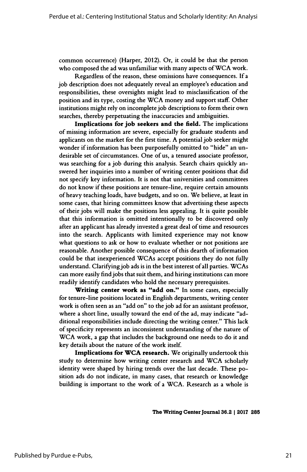common occurrence) (Harper, 2012). Or, it could be that the person who composed the ad was unfamiliar with many aspects of WCA work.

 Regardless of the reason, these omissions have consequences. If a job description does not adequately reveal an employee's education and responsibilities, these oversights might lead to misclassification of the position and its type, costing the WCA money and support staff. Other institutions might rely on incomplete job descriptions to form their own searches, thereby perpetuating the inaccuracies and ambiguities.

 Implications for job seekers and the field. The implications of missing information are severe, especially for graduate students and applicants on the market for the first time. A potential job seeker might wonder if information has been purposefully omitted to "hide" an un desirable set of circumstances. One of us, a tenured associate professor, was searching for a job during this analysis. Search chairs quickly an swered her inquiries into a number of writing center positions that did not specify key information. It is not that universities and committees do not know if these positions are tenure-line, require certain amounts of heavy teaching loads, have budgets, and so on. We believe, at least in some cases, that hiring committees know that advertising these aspects of their jobs will make the positions less appealing. It is quite possible that this information is omitted intentionally to be discovered only after an applicant has already invested a great deal of time and resources into the search. Applicants with limited experience may not know what questions to ask or how to evaluate whether or not positions are reasonable. Another possible consequence of this dearth of information could be that inexperienced WCAs accept positions they do not fully understand. Clarifying job ads is in the best interest of all parties. WCAs can more easily find jobs that suit them, and hiring institutions can more readily identify candidates who hold the necessary prerequisites.

Writing center work as "add on." In some cases, especially for tenure-line positions located in English departments, writing center work is often seen as an "add on" to the job ad for an assistant professor, where a short line, usually toward the end of the ad, may indicate "ad ditional responsibilities include directing the writing center." This lack of specificity represents an inconsistent understanding of the nature of WCA work, a gap that includes the background one needs to do it and key details about the nature of the work itself.

 Implications for WCA research. We originally undertook this study to determine how writing center research and WCA scholarly identity were shaped by hiring trends over the last decade. These po sition ads do not indicate, in many cases, that research or knowledge building is important to the work of a WCA. Research as a whole is

The Writing Center Journal 36.2 | 2017 285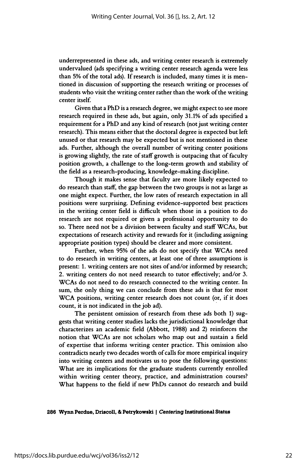underrepresented in these ads, and writing center research is extremely undervalued (ads specifying a writing center research agenda were less than 5% of the total ads). If research is included, many times it is men tioned in discussion of supporting the research writing or processes of students who visit the writing center rather than the work of the writing center itself.

 Given that a PhD is a research degree, we might expect to see more research required in these ads, but again, only 31.1% of ads specified a requirement for a PhD and any kind of research (not just writing center research). This means either that the doctoral degree is expected but left unused or that research may be expected but is not mentioned in these ads. Further, although the overall number of writing center positions is growing slightly, the rate of staff growth is outpacing that of faculty position growth, a challenge to the long-term growth and stability of the field as a research-producing, knowledge-making discipline.

 Though it makes sense that faculty are more likely expected to do research than staff, the gap between the two groups is not as large as one might expect. Further, the low rates of research expectation in all positions were surprising. Defining evidence-supported best practices in the writing center field is difficult when those in a position to do research are not required or given a professional opportunity to do so. There need not be a division between faculty and staff WCAs, but expectations of research activity and rewards for it (including assigning appropriate position types) should be clearer and more consistent.

 Further, when 95% of the ads do not specify that WCAs need to do research in writing centers, at least one of three assumptions is present: 1. writing centers are not sites of and/or informed by research; 2. writing centers do not need research to tutor effectively; and/or 3. WCAs do not need to do research connected to the writing center. In sum, the only thing we can conclude from these ads is that for most WCA positions, writing center research does not count (or, if it does count, it is not indicated in the job ad).

 The persistent omission of research from these ads both 1) sug gests that writing center studies lacks the jurisdictional knowledge that characterizes an academic field (Abbott, 1988) and 2) reinforces the notion that WCAs are not scholars who map out and sustain a field of expertise that informs writing center practice. This omission also contradicts nearly two decades worth of calls for more empirical inquiry into writing centers and motivates us to pose the following questions: What are its implications for the graduate students currently enrolled within writing center theory, practice, and administration courses? What happens to the field if new PhDs cannot do research and build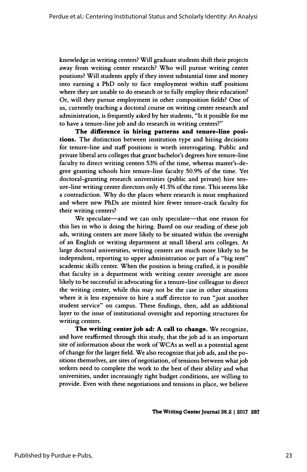knowledge in writing centers? Will graduate students shift their projects away from writing center research? Who will pursue writing center positions? Will students apply if they invest substantial time and money into earning a PhD only to face employment within staff positions where they are unable to do research or to fully employ their education? Or, will they pursue employment in other composition fields? One of us, currently teaching a doctoral course on writing center research and administration, is frequently asked by her students, "Is it possible for me to have a tenure-line job and do research in writing centers?"

 The difference in hiring patterns and tenure-line posi tions. The distinction between institution type and hiring decisions for tenure-line and staff positions is worth interrogating. Public and private liberal arts colleges that grant bachelor's degrees hire tenure-line faculty to direct writing centers 53% of the time, whereas master's-de gree granting schools hire tenure-line faculty 50.9% of the time. Yet doctoral-granting research universities (public and private) hire ten ure-line writing center directors only 41.5% of the time. This seems like a contradiction. Why do the places where research is most emphasized and where new PhDs are minted hire fewer tenure-track faculty for their writing centers?

We speculate-and we can only speculate-that one reason for this lies in who is doing the hiring. Based on our reading of these job ads, writing centers are more likely to be situated within the oversight of an English or writing department at small liberal arts colleges. At large doctoral universities, writing centers are much more likely to be independent, reporting to upper administration or part of a "big tent" academic skills center. When the position is being crafted, it is possible that faculty in a department with writing center oversight are more likely to be successful in advocating for a tenure-line colleague to direct the writing center, while this may not be the case in other situations where it is less expensive to hire a staff director to run "just another student service" on campus. These findings, then, add an additional layer to the issue of institutional oversight and reporting structures for writing centers.

 The writing center job ad: A call to change. We recognize, and have reaffirmed through this study, that the job ad is an important site of information about the work of WCAs as well as a potential agent of change for the larger field. We also recognize that job ads, and the po sitions themselves, are sites of negotiation, of tensions between what job seekers need to complete the work to the best of their ability and what universities, under increasingly tight budget conditions, are willing to provide. Even with these negotiations and tensions in place, we believe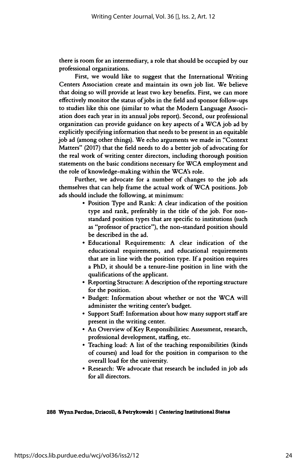there is room for an intermediary, a role that should be occupied by our professional organizations.

 First, we would like to suggest that the International Writing Centers Association create and maintain its own job list. We believe that doing so will provide at least two key benefits. First, we can more effectively monitor the status of jobs in the field and sponsor follow-ups to studies like this one (similar to what the Modern Language Associ ation does each year in its annual jobs report). Second, our professional organization can provide guidance on key aspects of a WCA job ad by explicitly specifying information that needs to be present in an equitable job ad (among other things). We echo arguments we made in "Context Matters" (2017) that the field needs to do a better job of advocating for the real work of writing center directors, including thorough position statements on the basic conditions necessary for WCA employment and the role of knowledge-making within the WCA's role.

 Further, we advocate for a number of changes to the job ads themselves that can help frame the actual work of WCA positions. Job ads should include the following, at minimum:

- Position Type and Rank: A clear indication of the position type and rank, preferably in the title of the job. For non standard position types that are specific to institutions (such as "professor of practice"), the non-standard position should be described in the ad.
- Educational Requirements: A clear indication of the educational requirements, and educational requirements that are in line with the position type. If a position requires a PhD, it should be a tenure-line position in line with the qualifications of the applicant.
- Reporting Structure: A description of the reporting structure for the position.
- Budget: Information about whether or not the WCA will administer the writing center's budget.
- Support Staff: Information about how many support staff are present in the writing center.
- An Overview of Key Responsibilities: Assessment, research, professional development, staffing, etc.
- Teaching load: A list of the teaching responsibilities (kinds of courses) and load for the position in comparison to the overall load for the university.
- Research: We advocate that research be included in job ads for all directors.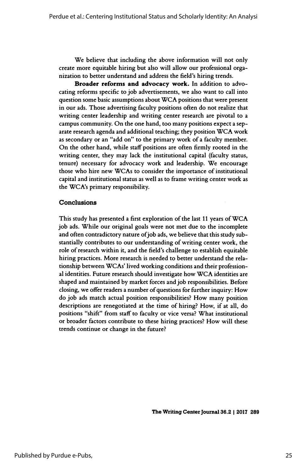We believe that including the above information will not only create more equitable hiring but also will allow our professional orga nization to better understand and address the field's hiring trends.

 Broader reforms and advocacy work. In addition to advo cating reforms specific to job advertisements, we also want to call into question some basic assumptions about WCA positions that were present in our ads. Those advertising faculty positions often do not realize that writing center leadership and writing center research are pivotal to a campus community. On the one hand, too many positions expect a sep arate research agenda and additional teaching; they position WCA work as secondary or an "add on" to the primary work of a faculty member. On the other hand, while staff positions are often firmly rooted in the writing center, they may lack the institutional capital (faculty status, tenure) necessary for advocacy work and leadership. We encourage those who hire new WCAs to consider the importance of institutional capital and institutional status as well as to frame writing center work as the WCA's primary responsibility.

#### Conclusions

 This study has presented a first exploration of the last 11 years of WCA job ads. While our original goals were not met due to the incomplete and often contradictory nature of job ads, we believe that this study sub stantially contributes to our understanding of writing center work, the role of research within it, and the field's challenge to establish equitable hiring practices. More research is needed to better understand the rela tionship between WCAs' lived working conditions and their profession al identities. Future research should investigate how WCA identities are shaped and maintained by market forces and job responsibilities. Before closing, we offer readers a number of questions for further inquiry: How do job ads match actual position responsibilities? How many position descriptions are renegotiated at the time of hiring? How, if at all, do positions "shift" from staff to faculty or vice versa? What institutional or broader factors contribute to these hiring practices? How will these trends continue or change in the future?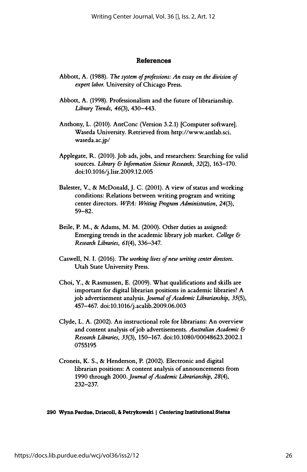#### References

- Abbott, A. (1988). The system of professions: An essay on the division of expert labor. University of Chicago Press.
- Abbott, A. (1998). Professionalism and the future of librarianship. Library Trends,  $46(3)$ ,  $430-443$ .
- Anthony, L. (2010). AntConc (Version 3.2.1) [Computer software]. Waseda University. Retrieved from http://www.antlab.sci. waseda.ac.jp/
- Applegate, R. (2010). Job ads, jobs, and researchers: Searching for valid sources. Library & Information Science Research, 32(2), 163-170. doi:10.1016/j.lisr.2009.12.005
- Baiester, V., & McDonald, J. C. (2001). A view of status and working conditions: Relations between writing program and writing center directors. WPA: Writing Program Administration, 24(3), 59-82.
- Beile, P. M., & Adams, M. M. (2000). Other duties as assigned: Emerging trends in the academic library job market. College & Research Libraries, 61(4), 336-347.
- Caswell, N. I. (2016). The working lives of new writing center directors. Utah State University Press.
- Choi, Y., & Rasmussen, E. (2009). What qualifications and skills are important for digital librarian positions in academic libraries? A job advertisement analysis. Journal of Academic Librarianship, 35(5), 457-467. doi:10.1016/j.acalib.2009.06.003
- Clyde, L. A. (2002). An instructional role for librarians: An overview and content analysis of job advertisements. Australian Academic & Research Libraries, 33(3), 150-167. doi:10.1080/00048623.2002.1 0755195
- Croneis, K. S., & Henderson, P. (2002). Electronic and digital librarian positions: A content analysis of announcements from 1990 through 2000. Journal of Academic Librarianship, 28(4), 232-237.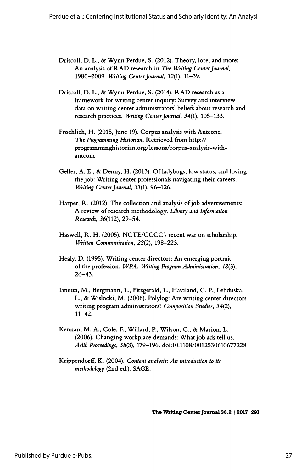- Driscoll, D. L., & Wynn Perdue, S. (2012). Theory, lore, and more: An analysis of RAD research in The Writing Center Journal, 1980-2009. Writing Center Journal, 32(1), 11-39.
- Driscoll, D. L., & Wynn Perdue, S. (2014). RAD research as a framework for writing center inquiry: Survey and interview data on writing center administrators' beliefs about research and research practices. Writing Center Journal, 34(1), 105-133.
- Froehlich, H. (2015, June 19). Corpus analysis with Antconc. The Programming Historian. Retrieved from http:// programminghistorian.org/lessons/corpus-analysis-with antconc
- Geller, A. E., & Denny, H. (2013). Of ladybugs, low status, and loving the job: Writing center professionals navigating their careers. Writing Center Journal, 33(1), 96-126.
- Harper, R. (2012). The collection and analysis of job advertisements: A review of research methodology. Library and Information Research, 36(112), 29-54.
- Haswell, R. H. (2005). NCTE/CCCC's recent war on scholarship. Written Communication, 22(2), 198-223.
- Healy, D. (1995). Writing center directors: An emerging portrait of the profession. WPA: Writing Program Administration, 18(3),  $26 - 43$ .
- lanetta, M., Bergmann, L., Fitzgerald, L., Haviland, C. P., Lebduska, L., & Wislocki, M. (2006). Polylog: Are writing center directors writing program administrators? Composition Studies, 34(2),  $11 - 42$ .
- Kennan, M. A., Cole, F., Willard, P., Wilson, C., & Marion, L. (2006). Changing workplace demands: What job ads tell us. Aslib Proceedings, 58(3), 179-196. doi:10.1108/0012530610677228
- Krippendorff, K. (2004). Content analysis: An introduction to its methodology (2nd ed.). SAGE.

The Writing Center Journal 36.2 | 2017 291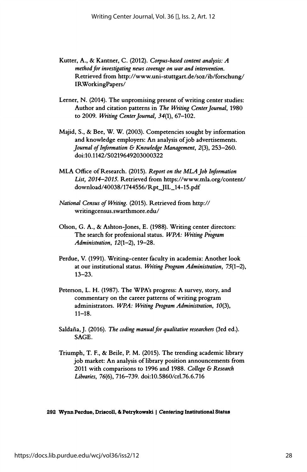- Kutter, A., & Kantner, C. (2012). Corpus-based content analysis:  $A$  method for investigating news coverage on war and intervention. Retrieved from http://www.uni-stuttgart.de/soz/ib/forschung/ IRWorkingPapers/
- Lerner, N. (2014). The unpromising present of writing center studies: Author and citation patterns in The Writing Center Journal, 1980 to 2009. Writing Center Journal, 34(1), 67-102.
- Majid, S., & Bee, W. W. (2003). Competencies sought by information and knowledge employers: An analysis of job advertisements. Journal of Information  $\&$  Knowledge Management, 2(3), 253-260. doi:10.1 142/S0219649203000322
- MLA Office of Research. (2015). Report on the MLA Job Information List, 2014-2015. Retrieved from https://www.mla.org/content/ download/40038/1744556/Rpt JIL\_14-15.pdf
- National Census of Writing. (2015). Retrieved from http:// writingcensus.swarthmore.edu/
- Olson, G. A., & Ashton-Jones, E. (1988). Writing center directors: The search for professional status. WPA: Writing Program Administration,  $12(1-2)$ ,  $19-28$ .
- Perdue, V. (1991). Writing-center faculty in academia: Another look at our institutional status. Writing Program Administration, 75(1-2), 13-23.
- Peterson, L. H. (1987). The WPA's progress: A survey, story, and commentary on the career patterns of writing program administrators. WPA: Writing Program Administration, 10(3),  $11 - 18.$
- Saldaña, J. (2016). The coding manual for qualitative researchers (3rd ed.). SAGE.
- Triumph, T. F., & Beile, P. M. (2015). The trending academic library job market: An analysis of library position announcements from 2011 with comparisons to 1996 and 1988. College & Research Libraries, 76(6), 716-739. doi:10.5860/crl.76.6.716